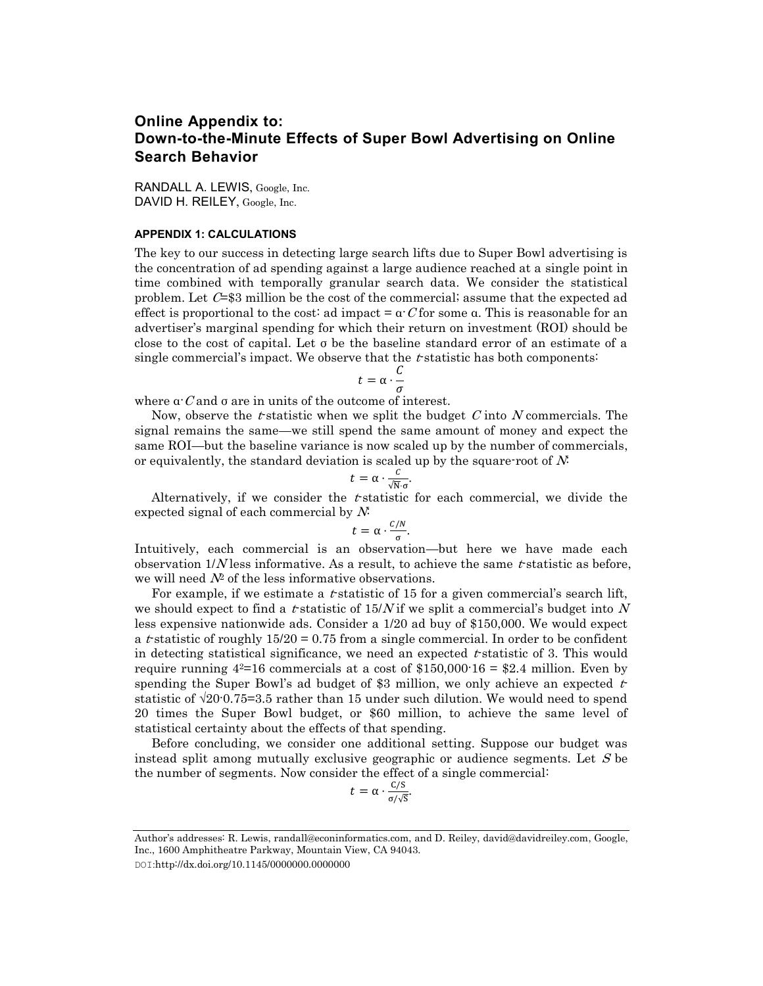## **Online Appendix to: Down-to-the-Minute Effects of Super Bowl Advertising on Online Search Behavior**

RANDALL A. LEWIS, Google, Inc. DAVID H. REILEY, Google, Inc.

## **APPENDIX 1: CALCULATIONS**

The key to our success in detecting large search lifts due to Super Bowl advertising is the concentration of ad spending against a large audience reached at a single point in time combined with temporally granular search data. We consider the statistical problem. Let  $C=33$  million be the cost of the commercial; assume that the expected ad effect is proportional to the cost: ad impact =  $\alpha C$  for some  $\alpha$ . This is reasonable for an advertiser's marginal spending for which their return on investment (ROI) should be close to the cost of capital. Let σ be the baseline standard error of an estimate of a single commercial's impact. We observe that the  $t$ -statistic has both components:

$$
t=\alpha\cdot\frac{\mathcal{C}}{\sigma}
$$

where  $\alpha C$  and  $\sigma$  are in units of the outcome of interest.

Now, observe the t-statistic when we split the budget  $C$  into  $N$  commercials. The signal remains the same—we still spend the same amount of money and expect the same ROI—but the baseline variance is now scaled up by the number of commercials, or equivalently, the standard deviation is scaled up by the square-root of  $N$ :

$$
t = \alpha \cdot \frac{c}{\sqrt{N} \cdot \sigma}
$$

.

Alternatively, if we consider the  $t$ -statistic for each commercial, we divide the expected signal of each commercial by  $N$ :

$$
t=\alpha\cdot\frac{c/N}{\sigma}.
$$

Intuitively, each commercial is an observation—but here we have made each observation  $1/N$  less informative. As a result, to achieve the same t-statistic as before, we will need  $N^2$  of the less informative observations.

For example, if we estimate a  $t$ -statistic of 15 for a given commercial's search lift, we should expect to find a t-statistic of  $15/N$  if we split a commercial's budget into N less expensive nationwide ads. Consider a 1/20 ad buy of \$150,000. We would expect a *t*-statistic of roughly  $15/20 = 0.75$  from a single commercial. In order to be confident in detecting statistical significance, we need an expected  $t$ -statistic of 3. This would require running  $4^{2}=16$  commercials at a cost of \$150,000  $16 = 2.4$  million. Even by spending the Super Bowl's ad budget of \$3 million, we only achieve an expected  $t$ statistic of √20·0.75=3.5 rather than 15 under such dilution. We would need to spend 20 times the Super Bowl budget, or \$60 million, to achieve the same level of statistical certainty about the effects of that spending.

Before concluding, we consider one additional setting. Suppose our budget was instead split among mutually exclusive geographic or audience segments. Let  $S$  be the number of segments. Now consider the effect of a single commercial:

$$
t = \alpha \cdot \frac{C/S}{\sigma/\sqrt{S}}.
$$

DOI:http://dx.doi.org/10.1145/0000000.0000000

Author's addresses: R. Lewis, randall@econinformatics.com, and D. Reiley, david@davidreiley.com, Google, Inc., 1600 Amphitheatre Parkway, Mountain View, CA 94043.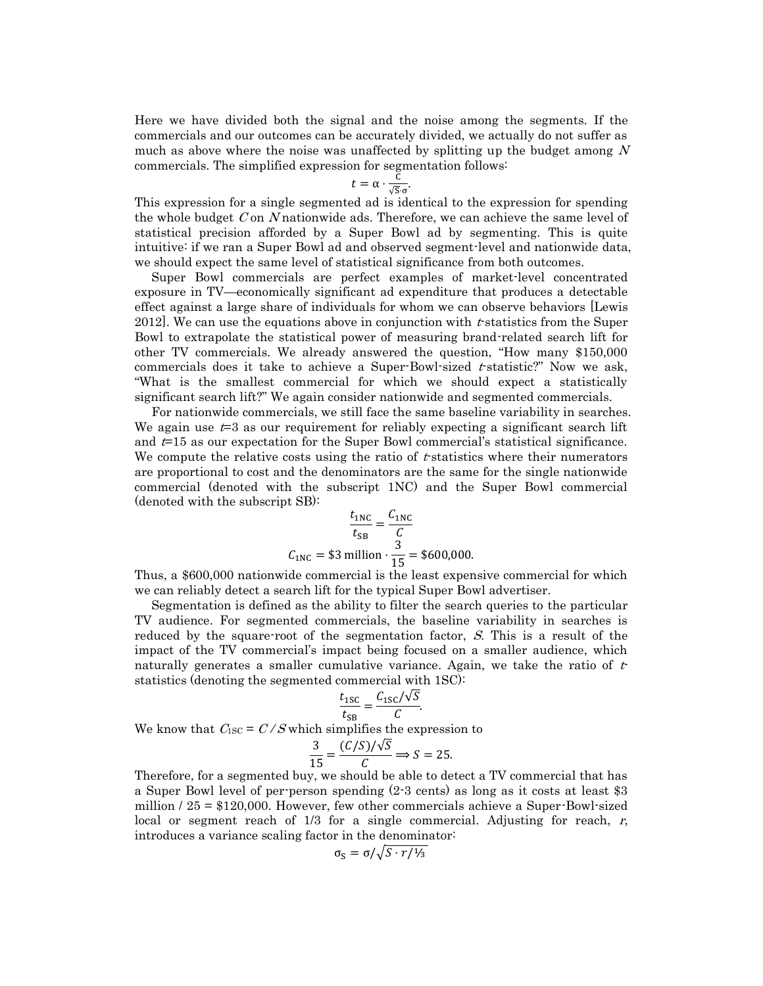Here we have divided both the signal and the noise among the segments. If the commercials and our outcomes can be accurately divided, we actually do not suffer as much as above where the noise was unaffected by splitting up the budget among  $N$ commercials. The simplified expression for segmentation follows:

$$
t = \alpha \cdot \frac{C}{\sqrt{S} \cdot \sigma}
$$

.

This expression for a single segmented ad is identical to the expression for spending the whole budget  $C$  on  $N$  nationwide ads. Therefore, we can achieve the same level of statistical precision afforded by a Super Bowl ad by segmenting. This is quite intuitive: if we ran a Super Bowl ad and observed segment-level and nationwide data, we should expect the same level of statistical significance from both outcomes.

Super Bowl commercials are perfect examples of market-level concentrated exposure in TV—economically significant ad expenditure that produces a detectable effect against a large share of individuals for whom we can observe behaviors [Lewis 2012]. We can use the equations above in conjunction with  $t$  statistics from the Super Bowl to extrapolate the statistical power of measuring brand-related search lift for other TV commercials. We already answered the question, "How many \$150,000 commercials does it take to achieve a Super-Bowl-sized  $t$ -statistic?" Now we ask, "What is the smallest commercial for which we should expect a statistically significant search lift?" We again consider nationwide and segmented commercials.

For nationwide commercials, we still face the same baseline variability in searches. We again use  $t=3$  as our requirement for reliably expecting a significant search lift and  $t=15$  as our expectation for the Super Bowl commercial's statistical significance. We compute the relative costs using the ratio of  $t$ -statistics where their numerators are proportional to cost and the denominators are the same for the single nationwide commercial (denoted with the subscript 1NC) and the Super Bowl commercial (denoted with the subscript SB):

$$
\frac{t_{\text{1NC}}}{t_{\text{SB}}} = \frac{C_{\text{1NC}}}{C}
$$
  
C<sub>1NC</sub> = \$3 million ·  $\frac{3}{15}$  = \$600,000.

Thus, a \$600,000 nationwide commercial is the least expensive commercial for which we can reliably detect a search lift for the typical Super Bowl advertiser.

Segmentation is defined as the ability to filter the search queries to the particular TV audience. For segmented commercials, the baseline variability in searches is reduced by the square-root of the segmentation factor,  $S$ . This is a result of the impact of the TV commercial's impact being focused on a smaller audience, which naturally generates a smaller cumulative variance. Again, we take the ratio of  $t$ statistics (denoting the segmented commercial with 1SC):

$$
\frac{t_{\text{1SC}}}{t_{\text{SB}}} = \frac{C_{\text{1SC}}/\sqrt{S}}{C}.
$$

We know that  $C_{1SC} = C/S$  which simplifies the expression to

$$
\frac{3}{15} = \frac{(C/S)/\sqrt{S}}{C} \Rightarrow S = 25.
$$

Therefore, for a segmented buy, we should be able to detect a TV commercial that has a Super Bowl level of per-person spending (2-3 cents) as long as it costs at least \$3 million / 25 = \$120,000. However, few other commercials achieve a Super-Bowl-sized local or segment reach of  $1/3$  for a single commercial. Adjusting for reach, r, introduces a variance scaling factor in the denominator:

$$
\sigma_{\rm S} = \sigma / \sqrt{S \cdot r / \frac{1}{3}}
$$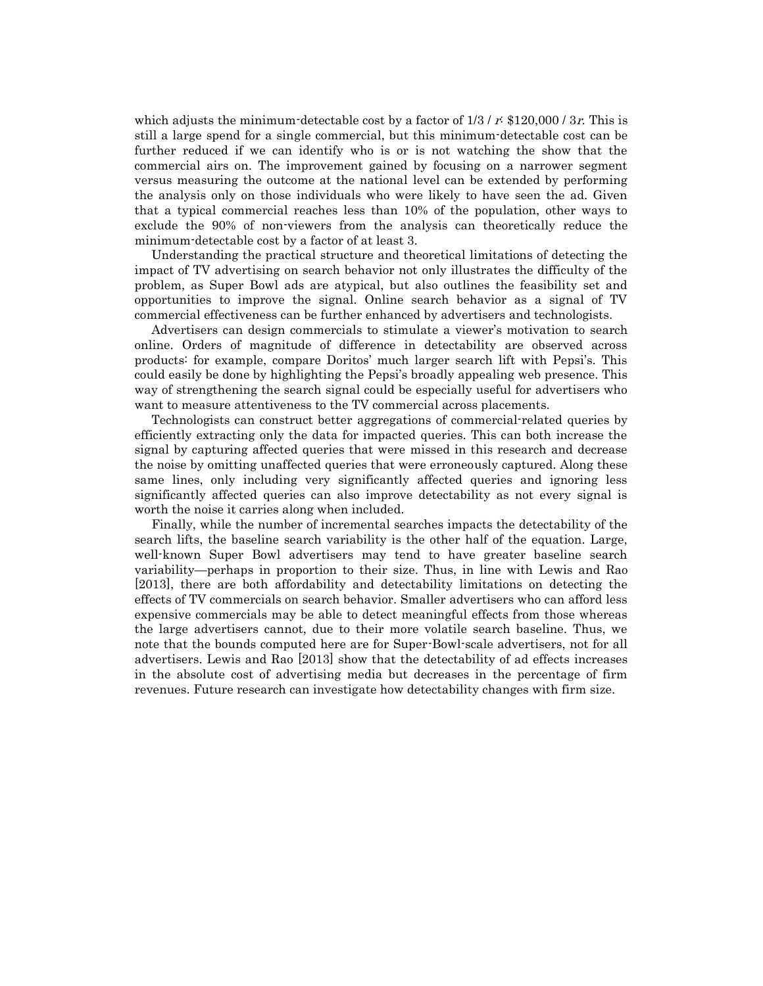which adjusts the minimum-detectable cost by a factor of  $1/3 / r$ : \$120,000 / 3r. This is still a large spend for a single commercial, but this minimum-detectable cost can be further reduced if we can identify who is or is not watching the show that the commercial airs on. The improvement gained by focusing on a narrower segment versus measuring the outcome at the national level can be extended by performing the analysis only on those individuals who were likely to have seen the ad. Given that a typical commercial reaches less than 10% of the population, other ways to exclude the 90% of non-viewers from the analysis can theoretically reduce the minimum-detectable cost by a factor of at least 3.

Understanding the practical structure and theoretical limitations of detecting the impact of TV advertising on search behavior not only illustrates the difficulty of the problem, as Super Bowl ads are atypical, but also outlines the feasibility set and opportunities to improve the signal. Online search behavior as a signal of TV commercial effectiveness can be further enhanced by advertisers and technologists.

Advertisers can design commercials to stimulate a viewer's motivation to search online. Orders of magnitude of difference in detectability are observed across products: for example, compare Doritos' much larger search lift with Pepsi's. This could easily be done by highlighting the Pepsi's broadly appealing web presence. This way of strengthening the search signal could be especially useful for advertisers who want to measure attentiveness to the TV commercial across placements.

Technologists can construct better aggregations of commercial-related queries by efficiently extracting only the data for impacted queries. This can both increase the signal by capturing affected queries that were missed in this research and decrease the noise by omitting unaffected queries that were erroneously captured. Along these same lines, only including very significantly affected queries and ignoring less significantly affected queries can also improve detectability as not every signal is worth the noise it carries along when included.

Finally, while the number of incremental searches impacts the detectability of the search lifts, the baseline search variability is the other half of the equation. Large, well-known Super Bowl advertisers may tend to have greater baseline search variability—perhaps in proportion to their size. Thus, in line with Lewis and Rao [2013], there are both affordability and detectability limitations on detecting the effects of TV commercials on search behavior. Smaller advertisers who can afford less expensive commercials may be able to detect meaningful effects from those whereas the large advertisers cannot, due to their more volatile search baseline. Thus, we note that the bounds computed here are for Super-Bowl-scale advertisers, not for all advertisers. Lewis and Rao [2013] show that the detectability of ad effects increases in the absolute cost of advertising media but decreases in the percentage of firm revenues. Future research can investigate how detectability changes with firm size.